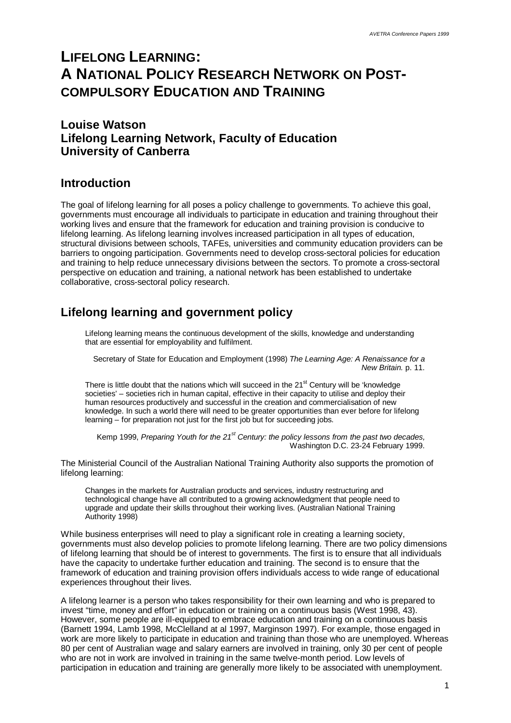# **LIFELONG LEARNING: A NATIONAL POLICY RESEARCH NETWORK ON POST-COMPULSORY EDUCATION AND TRAINING**

### **Louise Watson Lifelong Learning Network, Faculty of Education University of Canberra**

#### **Introduction**

The goal of lifelong learning for all poses a policy challenge to governments. To achieve this goal, governments must encourage all individuals to participate in education and training throughout their working lives and ensure that the framework for education and training provision is conducive to lifelong learning. As lifelong learning involves increased participation in all types of education, structural divisions between schools, TAFEs, universities and community education providers can be barriers to ongoing participation. Governments need to develop cross-sectoral policies for education and training to help reduce unnecessary divisions between the sectors. To promote a cross-sectoral perspective on education and training, a national network has been established to undertake collaborative, cross-sectoral policy research.

# **Lifelong learning and government policy**

Lifelong learning means the continuous development of the skills, knowledge and understanding that are essential for employability and fulfilment.

Secretary of State for Education and Employment (1998) *The Learning Age: A Renaissance for a New Britain.* p. 11.

There is little doubt that the nations which will succeed in the  $21<sup>st</sup>$  Century will be 'knowledge societies' – societies rich in human capital, effective in their capacity to utilise and deploy their human resources productively and successful in the creation and commercialisation of new knowledge. In such a world there will need to be greater opportunities than ever before for lifelong learning – for preparation not just for the first job but for succeeding jobs.

Kemp 1999, *Preparing Youth for the 21st Century: the policy lessons from the past two decades,* Washington D.C. 23-24 February 1999.

The Ministerial Council of the Australian National Training Authority also supports the promotion of lifelong learning:

Changes in the markets for Australian products and services, industry restructuring and technological change have all contributed to a growing acknowledgment that people need to upgrade and update their skills throughout their working lives. (Australian National Training Authority 1998)

While business enterprises will need to play a significant role in creating a learning society, governments must also develop policies to promote lifelong learning. There are two policy dimensions of lifelong learning that should be of interest to governments. The first is to ensure that all individuals have the capacity to undertake further education and training. The second is to ensure that the framework of education and training provision offers individuals access to wide range of educational experiences throughout their lives.

A lifelong learner is a person who takes responsibility for their own learning and who is prepared to invest "time, money and effort" in education or training on a continuous basis (West 1998, 43). However, some people are ill-equipped to embrace education and training on a continuous basis (Barnett 1994, Lamb 1998, McClelland at al 1997, Marginson 1997). For example, those engaged in work are more likely to participate in education and training than those who are unemployed. Whereas 80 per cent of Australian wage and salary earners are involved in training, only 30 per cent of people who are not in work are involved in training in the same twelve-month period. Low levels of participation in education and training are generally more likely to be associated with unemployment.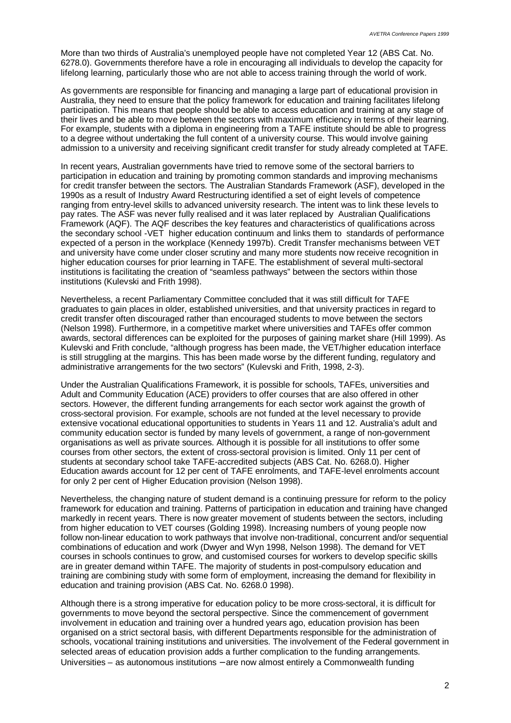More than two thirds of Australia's unemployed people have not completed Year 12 (ABS Cat. No. 6278.0). Governments therefore have a role in encouraging all individuals to develop the capacity for lifelong learning, particularly those who are not able to access training through the world of work.

As governments are responsible for financing and managing a large part of educational provision in Australia, they need to ensure that the policy framework for education and training facilitates lifelong participation. This means that people should be able to access education and training at any stage of their lives and be able to move between the sectors with maximum efficiency in terms of their learning. For example, students with a diploma in engineering from a TAFE institute should be able to progress to a degree without undertaking the full content of a university course. This would involve gaining admission to a university and receiving significant credit transfer for study already completed at TAFE.

In recent years, Australian governments have tried to remove some of the sectoral barriers to participation in education and training by promoting common standards and improving mechanisms for credit transfer between the sectors. The Australian Standards Framework (ASF), developed in the 1990s as a result of Industry Award Restructuring identified a set of eight levels of competence ranging from entry-level skills to advanced university research. The intent was to link these levels to pay rates. The ASF was never fully realised and it was later replaced by Australian Qualifications Framework (AQF). The AQF describes the key features and characteristics of qualifications across the secondary school -VET higher education continuum and links them to standards of performance expected of a person in the workplace (Kennedy 1997b). Credit Transfer mechanisms between VET and university have come under closer scrutiny and many more students now receive recognition in higher education courses for prior learning in TAFE. The establishment of several multi-sectoral institutions is facilitating the creation of "seamless pathways" between the sectors within those institutions (Kulevski and Frith 1998).

Nevertheless, a recent Parliamentary Committee concluded that it was still difficult for TAFE graduates to gain places in older, established universities, and that university practices in regard to credit transfer often discouraged rather than encouraged students to move between the sectors (Nelson 1998). Furthermore, in a competitive market where universities and TAFEs offer common awards, sectoral differences can be exploited for the purposes of gaining market share (Hill 1999). As Kulevski and Frith conclude, "although progress has been made, the VET/higher education interface is still struggling at the margins. This has been made worse by the different funding, regulatory and administrative arrangements for the two sectors" (Kulevski and Frith, 1998, 2-3).

Under the Australian Qualifications Framework, it is possible for schools, TAFEs, universities and Adult and Community Education (ACE) providers to offer courses that are also offered in other sectors. However, the different funding arrangements for each sector work against the growth of cross-sectoral provision. For example, schools are not funded at the level necessary to provide extensive vocational educational opportunities to students in Years 11 and 12. Australia's adult and community education sector is funded by many levels of government, a range of non-government organisations as well as private sources. Although it is possible for all institutions to offer some courses from other sectors, the extent of cross-sectoral provision is limited. Only 11 per cent of students at secondary school take TAFE-accredited subjects (ABS Cat. No. 6268.0). Higher Education awards account for 12 per cent of TAFE enrolments, and TAFE-level enrolments account for only 2 per cent of Higher Education provision (Nelson 1998).

Nevertheless, the changing nature of student demand is a continuing pressure for reform to the policy framework for education and training. Patterns of participation in education and training have changed markedly in recent years. There is now greater movement of students between the sectors, including from higher education to VET courses (Golding 1998). Increasing numbers of young people now follow non-linear education to work pathways that involve non-traditional, concurrent and/or sequential combinations of education and work (Dwyer and Wyn 1998, Nelson 1998). The demand for VET courses in schools continues to grow, and customised courses for workers to develop specific skills are in greater demand within TAFE. The majority of students in post-compulsory education and training are combining study with some form of employment, increasing the demand for flexibility in education and training provision (ABS Cat. No. 6268.0 1998).

Although there is a strong imperative for education policy to be more cross-sectoral, it is difficult for governments to move beyond the sectoral perspective. Since the commencement of government involvement in education and training over a hundred years ago, education provision has been organised on a strict sectoral basis, with different Departments responsible for the administration of schools, vocational training institutions and universities. The involvement of the Federal government in selected areas of education provision adds a further complication to the funding arrangements. Universities – as autonomous institutions – are now almost entirely a Commonwealth funding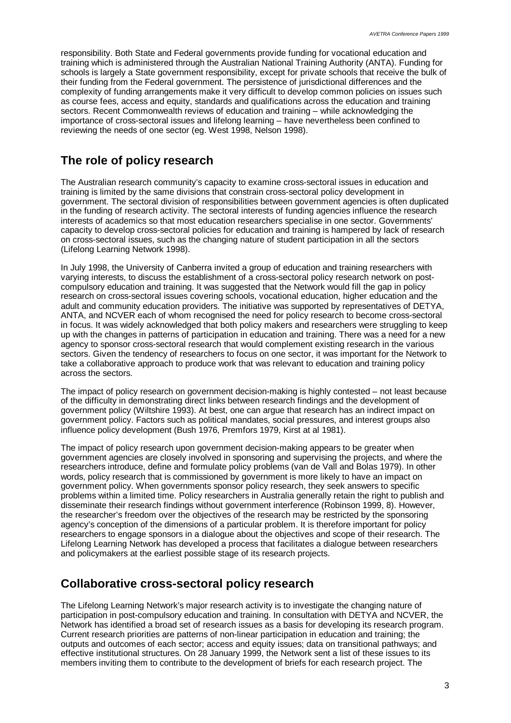responsibility. Both State and Federal governments provide funding for vocational education and training which is administered through the Australian National Training Authority (ANTA). Funding for schools is largely a State government responsibility, except for private schools that receive the bulk of their funding from the Federal government. The persistence of jurisdictional differences and the complexity of funding arrangements make it very difficult to develop common policies on issues such as course fees, access and equity, standards and qualifications across the education and training sectors. Recent Commonwealth reviews of education and training – while acknowledging the importance of cross-sectoral issues and lifelong learning – have nevertheless been confined to reviewing the needs of one sector (eg. West 1998, Nelson 1998).

# **The role of policy research**

The Australian research community's capacity to examine cross-sectoral issues in education and training is limited by the same divisions that constrain cross-sectoral policy development in government. The sectoral division of responsibilities between government agencies is often duplicated in the funding of research activity. The sectoral interests of funding agencies influence the research interests of academics so that most education researchers specialise in one sector. Governments' capacity to develop cross-sectoral policies for education and training is hampered by lack of research on cross-sectoral issues, such as the changing nature of student participation in all the sectors (Lifelong Learning Network 1998).

In July 1998, the University of Canberra invited a group of education and training researchers with varying interests, to discuss the establishment of a cross-sectoral policy research network on postcompulsory education and training. It was suggested that the Network would fill the gap in policy research on cross-sectoral issues covering schools, vocational education, higher education and the adult and community education providers. The initiative was supported by representatives of DETYA, ANTA, and NCVER each of whom recognised the need for policy research to become cross-sectoral in focus. It was widely acknowledged that both policy makers and researchers were struggling to keep up with the changes in patterns of participation in education and training. There was a need for a new agency to sponsor cross-sectoral research that would complement existing research in the various sectors. Given the tendency of researchers to focus on one sector, it was important for the Network to take a collaborative approach to produce work that was relevant to education and training policy across the sectors.

The impact of policy research on government decision-making is highly contested – not least because of the difficulty in demonstrating direct links between research findings and the development of government policy (Wiltshire 1993). At best, one can argue that research has an indirect impact on government policy. Factors such as political mandates, social pressures, and interest groups also influence policy development (Bush 1976, Premfors 1979, Kirst at al 1981).

The impact of policy research upon government decision-making appears to be greater when government agencies are closely involved in sponsoring and supervising the projects, and where the researchers introduce, define and formulate policy problems (van de Vall and Bolas 1979). In other words, policy research that is commissioned by government is more likely to have an impact on government policy. When governments sponsor policy research, they seek answers to specific problems within a limited time. Policy researchers in Australia generally retain the right to publish and disseminate their research findings without government interference (Robinson 1999, 8). However, the researcher's freedom over the objectives of the research may be restricted by the sponsoring agency's conception of the dimensions of a particular problem. It is therefore important for policy researchers to engage sponsors in a dialogue about the objectives and scope of their research. The Lifelong Learning Network has developed a process that facilitates a dialogue between researchers and policymakers at the earliest possible stage of its research projects.

# **Collaborative cross-sectoral policy research**

The Lifelong Learning Network's major research activity is to investigate the changing nature of participation in post-compulsory education and training. In consultation with DETYA and NCVER, the Network has identified a broad set of research issues as a basis for developing its research program. Current research priorities are patterns of non-linear participation in education and training; the outputs and outcomes of each sector; access and equity issues; data on transitional pathways; and effective institutional structures. On 28 January 1999, the Network sent a list of these issues to its members inviting them to contribute to the development of briefs for each research project. The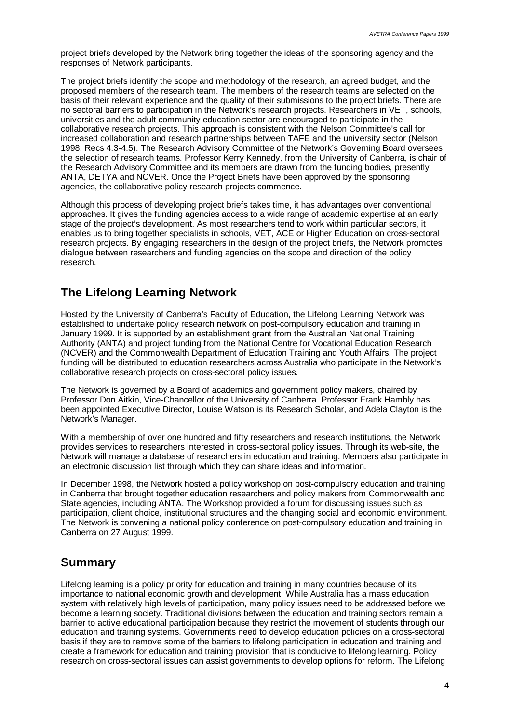project briefs developed by the Network bring together the ideas of the sponsoring agency and the responses of Network participants.

The project briefs identify the scope and methodology of the research, an agreed budget, and the proposed members of the research team. The members of the research teams are selected on the basis of their relevant experience and the quality of their submissions to the project briefs. There are no sectoral barriers to participation in the Network's research projects. Researchers in VET, schools, universities and the adult community education sector are encouraged to participate in the collaborative research projects. This approach is consistent with the Nelson Committee's call for increased collaboration and research partnerships between TAFE and the university sector (Nelson 1998, Recs 4.3-4.5). The Research Advisory Committee of the Network's Governing Board oversees the selection of research teams. Professor Kerry Kennedy, from the University of Canberra, is chair of the Research Advisory Committee and its members are drawn from the funding bodies, presently ANTA, DETYA and NCVER. Once the Project Briefs have been approved by the sponsoring agencies, the collaborative policy research projects commence.

Although this process of developing project briefs takes time, it has advantages over conventional approaches. It gives the funding agencies access to a wide range of academic expertise at an early stage of the project's development. As most researchers tend to work within particular sectors, it enables us to bring together specialists in schools, VET, ACE or Higher Education on cross-sectoral research projects. By engaging researchers in the design of the project briefs, the Network promotes dialogue between researchers and funding agencies on the scope and direction of the policy research.

#### **The Lifelong Learning Network**

Hosted by the University of Canberra's Faculty of Education, the Lifelong Learning Network was established to undertake policy research network on post-compulsory education and training in January 1999. It is supported by an establishment grant from the Australian National Training Authority (ANTA) and project funding from the National Centre for Vocational Education Research (NCVER) and the Commonwealth Department of Education Training and Youth Affairs. The project funding will be distributed to education researchers across Australia who participate in the Network's collaborative research projects on cross-sectoral policy issues.

The Network is governed by a Board of academics and government policy makers, chaired by Professor Don Aitkin, Vice-Chancellor of the University of Canberra. Professor Frank Hambly has been appointed Executive Director, Louise Watson is its Research Scholar, and Adela Clayton is the Network's Manager.

With a membership of over one hundred and fifty researchers and research institutions, the Network provides services to researchers interested in cross-sectoral policy issues. Through its web-site, the Network will manage a database of researchers in education and training. Members also participate in an electronic discussion list through which they can share ideas and information.

In December 1998, the Network hosted a policy workshop on post-compulsory education and training in Canberra that brought together education researchers and policy makers from Commonwealth and State agencies, including ANTA. The Workshop provided a forum for discussing issues such as participation, client choice, institutional structures and the changing social and economic environment. The Network is convening a national policy conference on post-compulsory education and training in Canberra on 27 August 1999.

#### **Summary**

Lifelong learning is a policy priority for education and training in many countries because of its importance to national economic growth and development. While Australia has a mass education system with relatively high levels of participation, many policy issues need to be addressed before we become a learning society. Traditional divisions between the education and training sectors remain a barrier to active educational participation because they restrict the movement of students through our education and training systems. Governments need to develop education policies on a cross-sectoral basis if they are to remove some of the barriers to lifelong participation in education and training and create a framework for education and training provision that is conducive to lifelong learning. Policy research on cross-sectoral issues can assist governments to develop options for reform. The Lifelong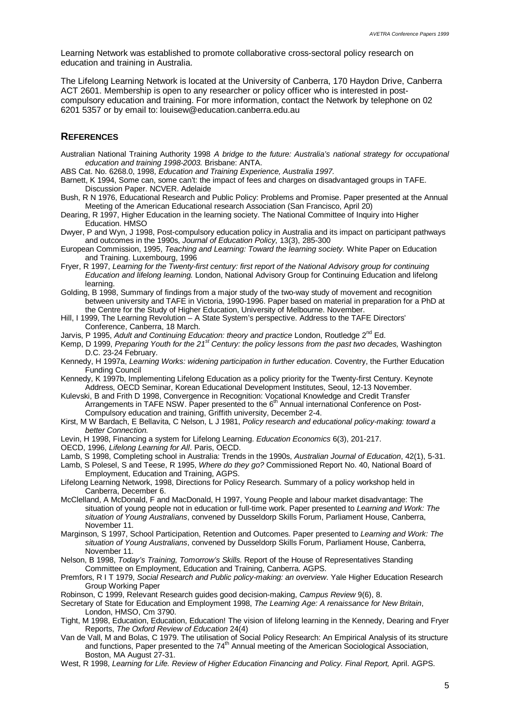Learning Network was established to promote collaborative cross-sectoral policy research on education and training in Australia.

The Lifelong Learning Network is located at the University of Canberra, 170 Haydon Drive, Canberra ACT 2601. Membership is open to any researcher or policy officer who is interested in postcompulsory education and training. For more information, contact the Network by telephone on 02 6201 5357 or by email to: louisew@education.canberra.edu.au

#### **REFERENCES**

- Australian National Training Authority 1998 *A bridge to the future: Australia's national strategy for occupational education and training 1998-2003.* Brisbane: ANTA.
- ABS Cat. No. 6268.0, 1998, *Education and Training Experience, Australia 1997.*
- Barnett, K 1994, Some can, some can't: the impact of fees and charges on disadvantaged groups in TAFE. Discussion Paper. NCVER. Adelaide
- Bush, R N 1976, Educational Research and Public Policy: Problems and Promise. Paper presented at the Annual Meeting of the American Educational research Association (San Francisco, April 20)
- Dearing, R 1997, Higher Education in the learning society. The National Committee of Inquiry into Higher Education. HMSO
- Dwyer, P and Wyn, J 1998, Post-compulsory education policy in Australia and its impact on participant pathways and outcomes in the 1990s, *Journal of Education Policy,* 13(3), 285-300
- European Commission, 1995, *Teaching and Learning: Toward the learning society.* White Paper on Education and Training. Luxembourg, 1996
- Fryer, R 1997, *Learning for the Twenty-first century: first report of the National Advisory group for continuing Education and lifelong learning.* London, National Advisory Group for Continuing Education and lifelong learning.
- Golding, B 1998, Summary of findings from a major study of the two-way study of movement and recognition between university and TAFE in Victoria, 1990-1996. Paper based on material in preparation for a PhD at the Centre for the Study of Higher Education, University of Melbourne. November.
- Hill, I 1999, The Learning Revolution A State System's perspective. Address to the TAFE Directors' Conference, Canberra, 18 March.
- Jarvis, P 1995, *Adult and Continuing Education: theory and practice* London, Routledge 2<sup>nd</sup> Ed.
- Kemp, D 1999, *Preparing Youth for the 21st Century: the policy lessons from the past two decades,* Washington D.C. 23-24 February.
- Kennedy, H 1997a, *Learning Works: widening participation in further education*. Coventry, the Further Education Funding Council
- Kennedy, K 1997b, Implementing Lifelong Education as a policy priority for the Twenty-first Century. Keynote Address, OECD Seminar, Korean Educational Development Institutes, Seoul, 12-13 November.
- Kulevski, B and Frith D 1998, Convergence in Recognition: Vocational Knowledge and Credit Transfer Arrangements in TAFE NSW. Paper presented to the 6<sup>th</sup> Annual international Conference on Post-Compulsory education and training, Griffith university, December 2-4.
- Kirst, M W Bardach, E Bellavita, C Nelson, L J 1981, *Policy research and educational policy-making: toward a better Connection.*
- Levin, H 1998, Financing a system for Lifelong Learning. *Education Economics* 6(3), 201-217.
- OECD, 1996, *Lifelong Learning for All*. Paris, OECD.
- Lamb, S 1998, Completing school in Australia: Trends in the 1990s, *Australian Journal of Education*, 42(1), 5-31.
- Lamb, S Polesel, S and Teese, R 1995, *Where do they go?* Commissioned Report No. 40, National Board of Employment, Education and Training, AGPS.
- Lifelong Learning Network, 1998, Directions for Policy Research. Summary of a policy workshop held in Canberra, December 6.
- McClelland, A McDonald, F and MacDonald, H 1997, Young People and labour market disadvantage: The situation of young people not in education or full-time work. Paper presented to *Learning and Work: The situation of Young Australians*, convened by Dusseldorp Skills Forum, Parliament House, Canberra, November 11.
- Marginson, S 1997, School Participation, Retention and Outcomes. Paper presented to *Learning and Work: The situation of Young Australians*, convened by Dusseldorp Skills Forum, Parliament House, Canberra, November 11.
- Nelson, B 1998, *Today's Training, Tomorrow's Skills.* Report of the House of Representatives Standing Committee on Employment, Education and Training, Canberra. AGPS.
- Premfors, R I T 1979, *Social Research and Public policy-making: an overview*. Yale Higher Education Research Group Working Paper
- Robinson, C 1999, Relevant Research guides good decision-making, *Campus Review* 9(6), 8.
- Secretary of State for Education and Employment 1998, *The Learning Age: A renaissance for New Britain*, London, HMSO, Cm 3790.
- Tight, M 1998, Education, Education, Education! The vision of lifelong learning in the Kennedy, Dearing and Fryer Reports, *The Oxford Review of Education* 24(4)
- Van de Vall, M and Bolas, C 1979. The utilisation of Social Policy Research: An Empirical Analysis of its structure and functions, Paper presented to the 74<sup>th</sup> Annual meeting of the American Sociological Association, Boston, MA August 27-31.
- West, R 1998, *Learning for Life. Review of Higher Education Financing and Policy. Final Report,* April. AGPS.